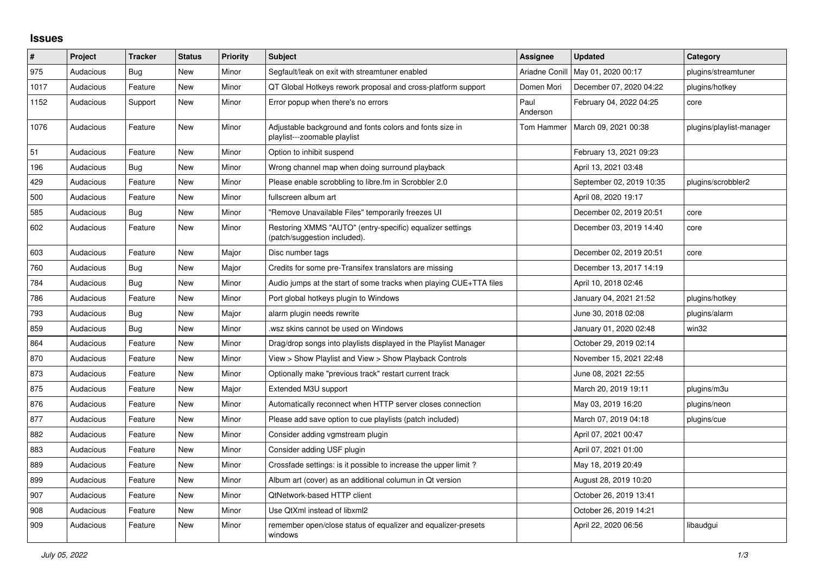## **Issues**

| $\#$ | Project   | <b>Tracker</b> | <b>Status</b> | <b>Priority</b> | <b>Subject</b>                                                                            | Assignee         | <b>Updated</b>           | Category                 |
|------|-----------|----------------|---------------|-----------------|-------------------------------------------------------------------------------------------|------------------|--------------------------|--------------------------|
| 975  | Audacious | <b>Bug</b>     | New           | Minor           | Segfault/leak on exit with streamtuner enabled                                            | Ariadne Conill   | May 01, 2020 00:17       | plugins/streamtuner      |
| 1017 | Audacious | Feature        | New           | Minor           | QT Global Hotkeys rework proposal and cross-platform support                              | Domen Mori       | December 07, 2020 04:22  | plugins/hotkey           |
| 1152 | Audacious | Support        | New           | Minor           | Error popup when there's no errors                                                        | Paul<br>Anderson | February 04, 2022 04:25  | core                     |
| 1076 | Audacious | Feature        | New           | Minor           | Adjustable background and fonts colors and fonts size in<br>playlist---zoomable playlist  | Tom Hammer       | March 09, 2021 00:38     | plugins/playlist-manager |
| 51   | Audacious | Feature        | New           | Minor           | Option to inhibit suspend                                                                 |                  | February 13, 2021 09:23  |                          |
| 196  | Audacious | <b>Bug</b>     | New           | Minor           | Wrong channel map when doing surround playback                                            |                  | April 13, 2021 03:48     |                          |
| 429  | Audacious | Feature        | New           | Minor           | Please enable scrobbling to libre.fm in Scrobbler 2.0                                     |                  | September 02, 2019 10:35 | plugins/scrobbler2       |
| 500  | Audacious | Feature        | New           | Minor           | fullscreen album art                                                                      |                  | April 08, 2020 19:17     |                          |
| 585  | Audacious | Bug            | New           | Minor           | "Remove Unavailable Files" temporarily freezes UI                                         |                  | December 02, 2019 20:51  | core                     |
| 602  | Audacious | Feature        | New           | Minor           | Restoring XMMS "AUTO" (entry-specific) equalizer settings<br>(patch/suggestion included). |                  | December 03, 2019 14:40  | core                     |
| 603  | Audacious | Feature        | New           | Major           | Disc number tags                                                                          |                  | December 02, 2019 20:51  | core                     |
| 760  | Audacious | Bug            | <b>New</b>    | Major           | Credits for some pre-Transifex translators are missing                                    |                  | December 13, 2017 14:19  |                          |
| 784  | Audacious | Bug            | <b>New</b>    | Minor           | Audio jumps at the start of some tracks when playing CUE+TTA files                        |                  | April 10, 2018 02:46     |                          |
| 786  | Audacious | Feature        | New           | Minor           | Port global hotkeys plugin to Windows                                                     |                  | January 04, 2021 21:52   | plugins/hotkey           |
| 793  | Audacious | Bug            | New           | Major           | alarm plugin needs rewrite                                                                |                  | June 30, 2018 02:08      | plugins/alarm            |
| 859  | Audacious | <b>Bug</b>     | New           | Minor           | wsz skins cannot be used on Windows                                                       |                  | January 01, 2020 02:48   | win32                    |
| 864  | Audacious | Feature        | New           | Minor           | Drag/drop songs into playlists displayed in the Playlist Manager                          |                  | October 29, 2019 02:14   |                          |
| 870  | Audacious | Feature        | <b>New</b>    | Minor           | View > Show Playlist and View > Show Playback Controls                                    |                  | November 15, 2021 22:48  |                          |
| 873  | Audacious | Feature        | New           | Minor           | Optionally make "previous track" restart current track                                    |                  | June 08, 2021 22:55      |                          |
| 875  | Audacious | Feature        | <b>New</b>    | Major           | Extended M3U support                                                                      |                  | March 20, 2019 19:11     | plugins/m3u              |
| 876  | Audacious | Feature        | New           | Minor           | Automatically reconnect when HTTP server closes connection                                |                  | May 03, 2019 16:20       | plugins/neon             |
| 877  | Audacious | Feature        | New           | Minor           | Please add save option to cue playlists (patch included)                                  |                  | March 07, 2019 04:18     | plugins/cue              |
| 882  | Audacious | Feature        | New           | Minor           | Consider adding vgmstream plugin                                                          |                  | April 07, 2021 00:47     |                          |
| 883  | Audacious | Feature        | New           | Minor           | Consider adding USF plugin                                                                |                  | April 07, 2021 01:00     |                          |
| 889  | Audacious | Feature        | <b>New</b>    | Minor           | Crossfade settings: is it possible to increase the upper limit?                           |                  | May 18, 2019 20:49       |                          |
| 899  | Audacious | Feature        | <b>New</b>    | Minor           | Album art (cover) as an additional columun in Qt version                                  |                  | August 28, 2019 10:20    |                          |
| 907  | Audacious | Feature        | New           | Minor           | QtNetwork-based HTTP client                                                               |                  | October 26, 2019 13:41   |                          |
| 908  | Audacious | Feature        | New           | Minor           | Use QtXml instead of libxml2                                                              |                  | October 26, 2019 14:21   |                          |
| 909  | Audacious | Feature        | New           | Minor           | remember open/close status of equalizer and equalizer-presets<br>windows                  |                  | April 22, 2020 06:56     | libaudgui                |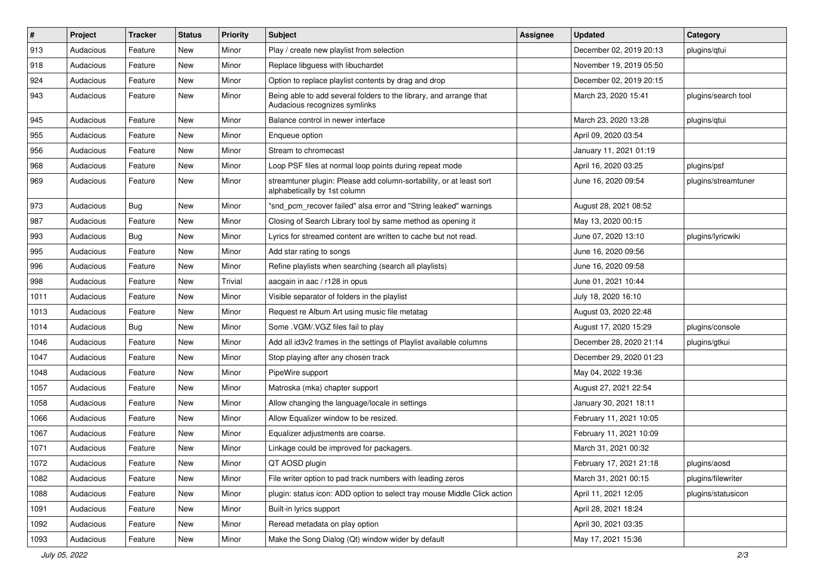| $\vert$ # | Project   | <b>Tracker</b> | <b>Status</b> | <b>Priority</b> | <b>Subject</b>                                                                                      | <b>Assignee</b> | <b>Updated</b>          | Category            |
|-----------|-----------|----------------|---------------|-----------------|-----------------------------------------------------------------------------------------------------|-----------------|-------------------------|---------------------|
| 913       | Audacious | Feature        | New           | Minor           | Play / create new playlist from selection                                                           |                 | December 02, 2019 20:13 | plugins/qtui        |
| 918       | Audacious | Feature        | <b>New</b>    | Minor           | Replace libguess with libuchardet                                                                   |                 | November 19, 2019 05:50 |                     |
| 924       | Audacious | Feature        | New           | Minor           | Option to replace playlist contents by drag and drop                                                |                 | December 02, 2019 20:15 |                     |
| 943       | Audacious | Feature        | New           | Minor           | Being able to add several folders to the library, and arrange that<br>Audacious recognizes symlinks |                 | March 23, 2020 15:41    | plugins/search tool |
| 945       | Audacious | Feature        | New           | Minor           | Balance control in newer interface                                                                  |                 | March 23, 2020 13:28    | plugins/qtui        |
| 955       | Audacious | Feature        | <b>New</b>    | Minor           | Enqueue option                                                                                      |                 | April 09, 2020 03:54    |                     |
| 956       | Audacious | Feature        | New           | Minor           | Stream to chromecast                                                                                |                 | January 11, 2021 01:19  |                     |
| 968       | Audacious | Feature        | New           | Minor           | Loop PSF files at normal loop points during repeat mode                                             |                 | April 16, 2020 03:25    | plugins/psf         |
| 969       | Audacious | Feature        | <b>New</b>    | Minor           | streamtuner plugin: Please add column-sortability, or at least sort<br>alphabetically by 1st column |                 | June 16, 2020 09:54     | plugins/streamtuner |
| 973       | Audacious | Bug            | <b>New</b>    | Minor           | "snd_pcm_recover failed" alsa error and "String leaked" warnings                                    |                 | August 28, 2021 08:52   |                     |
| 987       | Audacious | Feature        | <b>New</b>    | Minor           | Closing of Search Library tool by same method as opening it                                         |                 | May 13, 2020 00:15      |                     |
| 993       | Audacious | Bug            | New           | Minor           | Lyrics for streamed content are written to cache but not read.                                      |                 | June 07, 2020 13:10     | plugins/lyricwiki   |
| 995       | Audacious | Feature        | <b>New</b>    | Minor           | Add star rating to songs                                                                            |                 | June 16, 2020 09:56     |                     |
| 996       | Audacious | Feature        | New           | Minor           | Refine playlists when searching (search all playlists)                                              |                 | June 16, 2020 09:58     |                     |
| 998       | Audacious | Feature        | New           | Trivial         | aacgain in aac / r128 in opus                                                                       |                 | June 01, 2021 10:44     |                     |
| 1011      | Audacious | Feature        | <b>New</b>    | Minor           | Visible separator of folders in the playlist                                                        |                 | July 18, 2020 16:10     |                     |
| 1013      | Audacious | Feature        | New           | Minor           | Request re Album Art using music file metatag                                                       |                 | August 03, 2020 22:48   |                     |
| 1014      | Audacious | <b>Bug</b>     | <b>New</b>    | Minor           | Some .VGM/.VGZ files fail to play                                                                   |                 | August 17, 2020 15:29   | plugins/console     |
| 1046      | Audacious | Feature        | <b>New</b>    | Minor           | Add all id3v2 frames in the settings of Playlist available columns                                  |                 | December 28, 2020 21:14 | plugins/gtkui       |
| 1047      | Audacious | Feature        | New           | Minor           | Stop playing after any chosen track                                                                 |                 | December 29, 2020 01:23 |                     |
| 1048      | Audacious | Feature        | <b>New</b>    | Minor           | PipeWire support                                                                                    |                 | May 04, 2022 19:36      |                     |
| 1057      | Audacious | Feature        | New           | Minor           | Matroska (mka) chapter support                                                                      |                 | August 27, 2021 22:54   |                     |
| 1058      | Audacious | Feature        | New           | Minor           | Allow changing the language/locale in settings                                                      |                 | January 30, 2021 18:11  |                     |
| 1066      | Audacious | Feature        | New           | Minor           | Allow Equalizer window to be resized.                                                               |                 | February 11, 2021 10:05 |                     |
| 1067      | Audacious | Feature        | New           | Minor           | Equalizer adjustments are coarse.                                                                   |                 | February 11, 2021 10:09 |                     |
| 1071      | Audacious | Feature        | <b>New</b>    | Minor           | Linkage could be improved for packagers.                                                            |                 | March 31, 2021 00:32    |                     |
| 1072      | Audacious | Feature        | New           | Minor           | QT AOSD plugin                                                                                      |                 | February 17, 2021 21:18 | plugins/aosd        |
| 1082      | Audacious | Feature        | New           | Minor           | File writer option to pad track numbers with leading zeros                                          |                 | March 31, 2021 00:15    | plugins/filewriter  |
| 1088      | Audacious | Feature        | New           | Minor           | plugin: status icon: ADD option to select tray mouse Middle Click action                            |                 | April 11, 2021 12:05    | plugins/statusicon  |
| 1091      | Audacious | Feature        | New           | Minor           | Built-in lyrics support                                                                             |                 | April 28, 2021 18:24    |                     |
| 1092      | Audacious | Feature        | New           | Minor           | Reread metadata on play option                                                                      |                 | April 30, 2021 03:35    |                     |
| 1093      | Audacious | Feature        | New           | Minor           | Make the Song Dialog (Qt) window wider by default                                                   |                 | May 17, 2021 15:36      |                     |